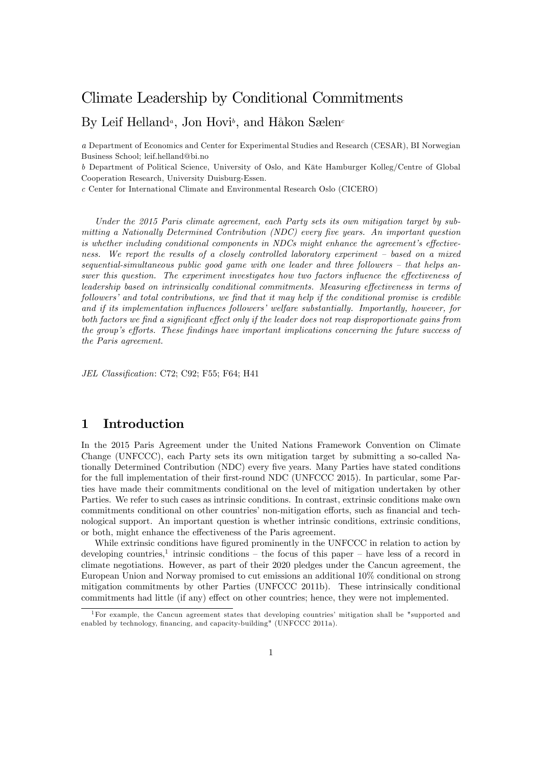# Climate Leadership by Conditional Commitments

# By Leif Helland<sup>a</sup>, Jon Hovi<sup>b</sup>, and Håkon Sælen<sup>d</sup>

a Department of Economics and Center for Experimental Studies and Research (CESAR), BI Norwegian Business School; leif.helland@bi.no

b Department of Political Science, University of Oslo, and Käte Hamburger Kolleg/Centre of Global Cooperation Research, University Duisburg-Essen.

c Center for International Climate and Environmental Research Oslo (CICERO)

Under the 2015 Paris climate agreement, each Party sets its own mitigation target by submitting a Nationally Determined Contribution (NDC) every five years. An important question is whether including conditional components in NDCs might enhance the agreement's effectiveness. We report the results of a closely controlled laboratory experiment  $-$  based on a mixed sequential-simultaneous public good game with one leader and three followers  $-$  that helps answer this question. The experiment investigates how two factors influence the effectiveness of leadership based on intrinsically conditional commitments. Measuring effectiveness in terms of  $followers'$  and total contributions, we find that it may help if the conditional promise is credible and if its implementation influences followers' welfare substantially. Importantly, however, for both factors we find a significant effect only if the leader does not reap disproportionate gains from the group's efforts. These findings have important implications concerning the future success of the Paris agreement.

JEL Classification: C72; C92; F55; F64; H41

## 1 Introduction

In the 2015 Paris Agreement under the United Nations Framework Convention on Climate Change (UNFCCC), each Party sets its own mitigation target by submitting a so-called Nationally Determined Contribution (NDC) every five years. Many Parties have stated conditions for the full implementation of their first-round NDC (UNFCCC 2015). In particular, some Parties have made their commitments conditional on the level of mitigation undertaken by other Parties. We refer to such cases as intrinsic conditions. In contrast, extrinsic conditions make own commitments conditional on other countries' non-mitigation efforts, such as financial and technological support. An important question is whether intrinsic conditions, extrinsic conditions, or both, might enhance the effectiveness of the Paris agreement.

While extrinsic conditions have figured prominently in the UNFCCC in relation to action by developing countries,<sup>1</sup> intrinsic conditions – the focus of this paper – have less of a record in climate negotiations. However, as part of their 2020 pledges under the Cancun agreement, the European Union and Norway promised to cut emissions an additional 10% conditional on strong mitigation commitments by other Parties (UNFCCC 2011b). These intrinsically conditional commitments had little (if any) effect on other countries; hence, they were not implemented.

<sup>&</sup>lt;sup>1</sup>For example, the Cancun agreement states that developing countries' mitigation shall be "supported and enabled by technology, financing, and capacity-building" (UNFCCC 2011a).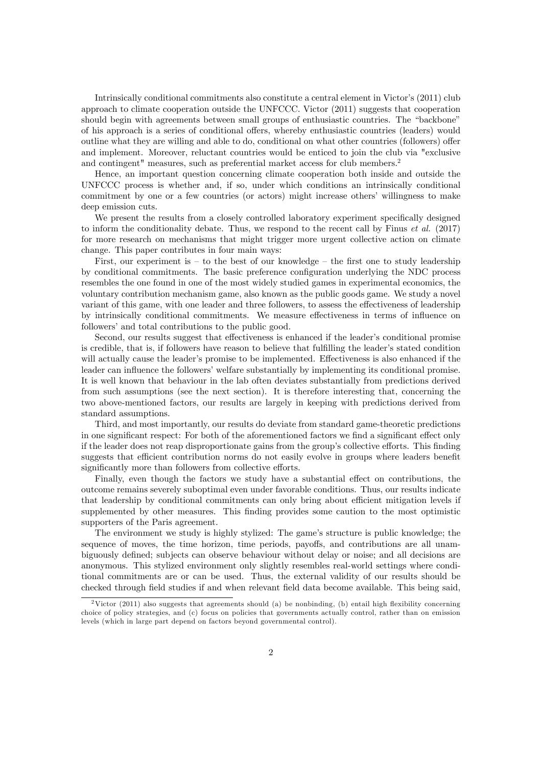Intrinsically conditional commitments also constitute a central element in Victor's (2011) club approach to climate cooperation outside the UNFCCC. Victor (2011) suggests that cooperation should begin with agreements between small groups of enthusiastic countries. The "backbone" of his approach is a series of conditional offers, whereby enthusiastic countries (leaders) would outline what they are willing and able to do, conditional on what other countries (followers) offer and implement. Moreover, reluctant countries would be enticed to join the club via "exclusive and contingent" measures, such as preferential market access for club members.<sup>2</sup>

Hence, an important question concerning climate cooperation both inside and outside the UNFCCC process is whether and, if so, under which conditions an intrinsically conditional commitment by one or a few countries (or actors) might increase othersí willingness to make deep emission cuts.

We present the results from a closely controlled laboratory experiment specifically designed to inform the conditionality debate. Thus, we respond to the recent call by Finus  $et \ al.$  (2017) for more research on mechanisms that might trigger more urgent collective action on climate change. This paper contributes in four main ways:

First, our experiment is  $-$  to the best of our knowledge  $-$  the first one to study leadership by conditional commitments. The basic preference configuration underlying the NDC process resembles the one found in one of the most widely studied games in experimental economics, the voluntary contribution mechanism game, also known as the public goods game. We study a novel variant of this game, with one leader and three followers, to assess the effectiveness of leadership by intrinsically conditional commitments. We measure effectiveness in terms of influence on followers' and total contributions to the public good.

Second, our results suggest that effectiveness is enhanced if the leader's conditional promise is credible, that is, if followers have reason to believe that fulfilling the leader's stated condition will actually cause the leader's promise to be implemented. Effectiveness is also enhanced if the leader can influence the followers' welfare substantially by implementing its conditional promise. It is well known that behaviour in the lab often deviates substantially from predictions derived from such assumptions (see the next section). It is therefore interesting that, concerning the two above-mentioned factors, our results are largely in keeping with predictions derived from standard assumptions.

Third, and most importantly, our results do deviate from standard game-theoretic predictions in one significant respect: For both of the aforementioned factors we find a significant effect only if the leader does not reap disproportionate gains from the group's collective efforts. This finding suggests that efficient contribution norms do not easily evolve in groups where leaders benefit significantly more than followers from collective efforts.

Finally, even though the factors we study have a substantial effect on contributions, the outcome remains severely suboptimal even under favorable conditions. Thus, our results indicate that leadership by conditional commitments can only bring about efficient mitigation levels if supplemented by other measures. This finding provides some caution to the most optimistic supporters of the Paris agreement.

The environment we study is highly stylized: The game's structure is public knowledge; the sequence of moves, the time horizon, time periods, payoffs, and contributions are all unambiguously defined; subjects can observe behaviour without delay or noise; and all decisions are anonymous. This stylized environment only slightly resembles real-world settings where conditional commitments are or can be used. Thus, the external validity of our results should be checked through field studies if and when relevant field data become available. This being said,

<sup>&</sup>lt;sup>2</sup>Victor (2011) also suggests that agreements should (a) be nonbinding, (b) entail high flexibility concerning choice of policy strategies, and (c) focus on policies that governments actually control, rather than on emission levels (which in large part depend on factors beyond governmental control).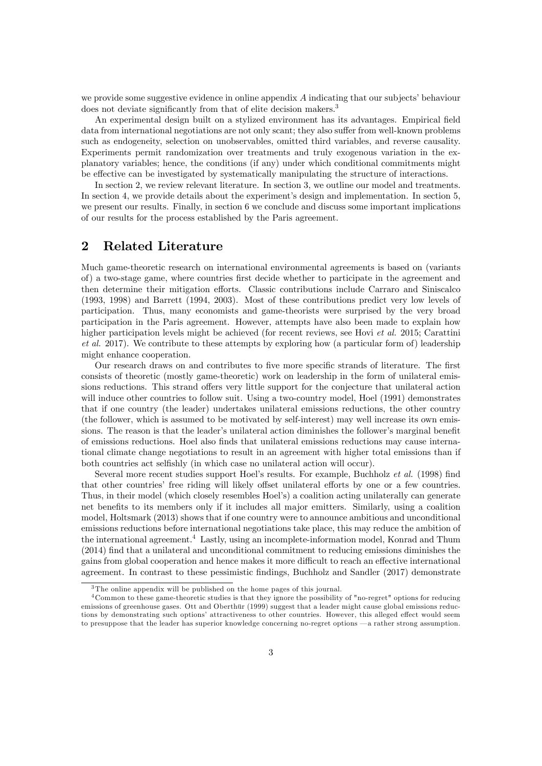we provide some suggestive evidence in online appendix  $A$  indicating that our subjects' behaviour does not deviate significantly from that of elite decision makers.<sup>3</sup>

An experimental design built on a stylized environment has its advantages. Empirical field data from international negotiations are not only scant; they also suffer from well-known problems such as endogeneity, selection on unobservables, omitted third variables, and reverse causality. Experiments permit randomization over treatments and truly exogenous variation in the explanatory variables; hence, the conditions (if any) under which conditional commitments might be effective can be investigated by systematically manipulating the structure of interactions.

In section 2, we review relevant literature. In section 3, we outline our model and treatments. In section 4, we provide details about the experiment's design and implementation. In section 5, we present our results. Finally, in section 6 we conclude and discuss some important implications of our results for the process established by the Paris agreement.

## 2 Related Literature

Much game-theoretic research on international environmental agreements is based on (variants of) a two-stage game, where countries first decide whether to participate in the agreement and then determine their mitigation efforts. Classic contributions include Carraro and Siniscalco (1993, 1998) and Barrett (1994, 2003). Most of these contributions predict very low levels of participation. Thus, many economists and game-theorists were surprised by the very broad participation in the Paris agreement. However, attempts have also been made to explain how higher participation levels might be achieved (for recent reviews, see Hovi et al. 2015; Carattini et al. 2017). We contribute to these attempts by exploring how (a particular form of) leadership might enhance cooperation.

Our research draws on and contributes to five more specific strands of literature. The first consists of theoretic (mostly game-theoretic) work on leadership in the form of unilateral emissions reductions. This strand offers very little support for the conjecture that unilateral action will induce other countries to follow suit. Using a two-country model, Hoel (1991) demonstrates that if one country (the leader) undertakes unilateral emissions reductions, the other country (the follower, which is assumed to be motivated by self-interest) may well increase its own emissions. The reason is that the leader's unilateral action diminishes the follower's marginal benefit of emissions reductions. Hoel also Önds that unilateral emissions reductions may cause international climate change negotiations to result in an agreement with higher total emissions than if both countries act selfishly (in which case no unilateral action will occur).

Several more recent studies support Hoel's results. For example, Buchholz et al. (1998) find that other countries' free riding will likely offset unilateral efforts by one or a few countries. Thus, in their model (which closely resembles Hoel's) a coalition acting unilaterally can generate net benefits to its members only if it includes all major emitters. Similarly, using a coalition model, Holtsmark (2013) shows that if one country were to announce ambitious and unconditional emissions reductions before international negotiations take place, this may reduce the ambition of the international agreement.<sup>4</sup> Lastly, using an incomplete-information model, Konrad and Thum (2014) Önd that a unilateral and unconditional commitment to reducing emissions diminishes the gains from global cooperation and hence makes it more difficult to reach an effective international agreement. In contrast to these pessimistic findings, Buchholz and Sandler (2017) demonstrate

<sup>3</sup> The online appendix will be published on the home pages of this journal.

 $4$ Common to these game-theoretic studies is that they ignore the possibility of "no-regret" options for reducing emissions of greenhouse gases. Ott and Oberthür (1999) suggest that a leader might cause global emissions reductions by demonstrating such options' attractiveness to other countries. However, this alleged effect would seem to presuppose that the leader has superior knowledge concerning no-regret options  $-a$  rather strong assumption.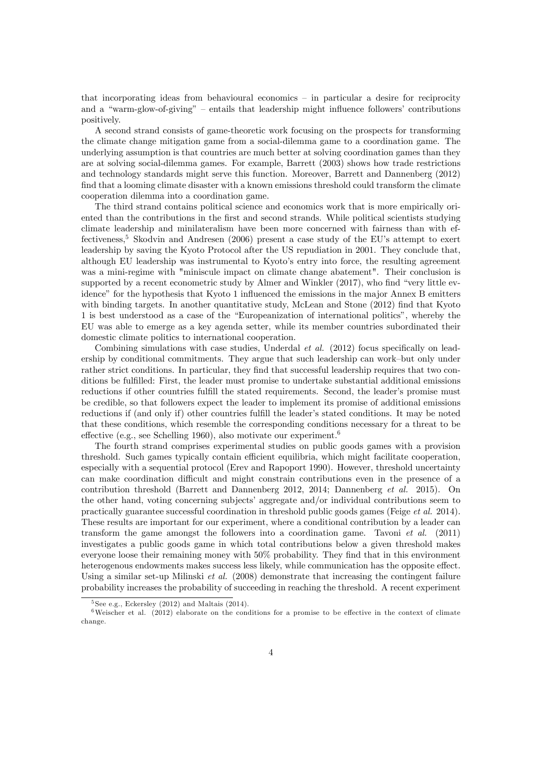that incorporating ideas from behavioural economics  $-$  in particular a desire for reciprocity and a "warm-glow-of-giving"  $-$  entails that leadership might influence followers' contributions positively.

A second strand consists of game-theoretic work focusing on the prospects for transforming the climate change mitigation game from a social-dilemma game to a coordination game. The underlying assumption is that countries are much better at solving coordination games than they are at solving social-dilemma games. For example, Barrett (2003) shows how trade restrictions and technology standards might serve this function. Moreover, Barrett and Dannenberg (2012) find that a looming climate disaster with a known emissions threshold could transform the climate cooperation dilemma into a coordination game.

The third strand contains political science and economics work that is more empirically oriented than the contributions in the first and second strands. While political scientists studying climate leadership and minilateralism have been more concerned with fairness than with effectiveness,<sup>5</sup> Skodvin and Andresen (2006) present a case study of the EU's attempt to exert leadership by saving the Kyoto Protocol after the US repudiation in 2001. They conclude that, although EU leadership was instrumental to Kyoto's entry into force, the resulting agreement was a mini-regime with "miniscule impact on climate change abatement". Their conclusion is supported by a recent econometric study by Almer and Winkler  $(2017)$ , who find "very little evidence" for the hypothesis that Kyoto 1 influenced the emissions in the major Annex B emitters with binding targets. In another quantitative study, McLean and Stone (2012) find that Kyoto 1 is best understood as a case of the "Europeanization of international politics", whereby the EU was able to emerge as a key agenda setter, while its member countries subordinated their domestic climate politics to international cooperation.

Combining simulations with case studies, Underdal  $et \ al.$  (2012) focus specifically on leadership by conditional commitments. They argue that such leadership can work-but only under rather strict conditions. In particular, they find that successful leadership requires that two conditions be fulfilled: First, the leader must promise to undertake substantial additional emissions reductions if other countries fulfill the stated requirements. Second, the leader's promise must be credible, so that followers expect the leader to implement its promise of additional emissions reductions if (and only if) other countries fulfill the leader's stated conditions. It may be noted that these conditions, which resemble the corresponding conditions necessary for a threat to be effective (e.g., see Schelling 1960), also motivate our experiment.<sup>6</sup>

The fourth strand comprises experimental studies on public goods games with a provision threshold. Such games typically contain efficient equilibria, which might facilitate cooperation, especially with a sequential protocol (Erev and Rapoport 1990). However, threshold uncertainty can make coordination difficult and might constrain contributions even in the presence of a contribution threshold (Barrett and Dannenberg 2012, 2014; Dannenberg et al. 2015). On the other hand, voting concerning subjects' aggregate and/or individual contributions seem to practically guarantee successful coordination in threshold public goods games (Feige et al. 2014). These results are important for our experiment, where a conditional contribution by a leader can transform the game amongst the followers into a coordination game. Tavoni et al. (2011) investigates a public goods game in which total contributions below a given threshold makes everyone loose their remaining money with  $50\%$  probability. They find that in this environment heterogenous endowments makes success less likely, while communication has the opposite effect. Using a similar set-up Milinski et al. (2008) demonstrate that increasing the contingent failure probability increases the probability of succeeding in reaching the threshold. A recent experiment

 $5$ See e.g., Eckersley (2012) and Maltais (2014).

 $6$ Weischer et al. (2012) elaborate on the conditions for a promise to be effective in the context of climate change.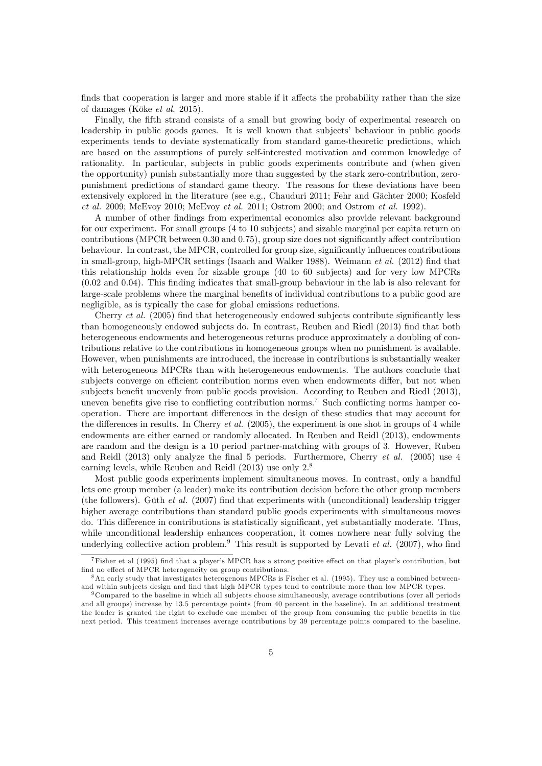finds that cooperation is larger and more stable if it affects the probability rather than the size of damages (Köke *et al.* 2015).

Finally, the fifth strand consists of a small but growing body of experimental research on leadership in public goods games. It is well known that subjectsí behaviour in public goods experiments tends to deviate systematically from standard game-theoretic predictions, which are based on the assumptions of purely self-interested motivation and common knowledge of rationality. In particular, subjects in public goods experiments contribute and (when given the opportunity) punish substantially more than suggested by the stark zero-contribution, zeropunishment predictions of standard game theory. The reasons for these deviations have been extensively explored in the literature (see e.g., Chauduri 2011; Fehr and Gächter 2000; Kosfeld et al. 2009; McEvoy 2010; McEvoy et al. 2011; Ostrom 2000; and Ostrom et al. 1992).

A number of other Öndings from experimental economics also provide relevant background for our experiment. For small groups (4 to 10 subjects) and sizable marginal per capita return on contributions (MPCR between  $0.30$  and  $0.75$ ), group size does not significantly affect contribution behaviour. In contrast, the MPCR, controlled for group size, significantly influences contributions in small-group, high-MPCR settings (Isaach and Walker 1988). Weimann et al. (2012) find that this relationship holds even for sizable groups (40 to 60 subjects) and for very low MPCRs (0.02 and 0.04). This Önding indicates that small-group behaviour in the lab is also relevant for large-scale problems where the marginal benefits of individual contributions to a public good are negligible, as is typically the case for global emissions reductions.

Cherry *et al.* (2005) find that heterogeneously endowed subjects contribute significantly less than homogeneously endowed subjects do. In contrast, Reuben and Riedl (2013) find that both heterogeneous endowments and heterogeneous returns produce approximately a doubling of contributions relative to the contributions in homogeneous groups when no punishment is available. However, when punishments are introduced, the increase in contributions is substantially weaker with heterogeneous MPCRs than with heterogeneous endowments. The authors conclude that subjects converge on efficient contribution norms even when endowments differ, but not when subjects benefit unevenly from public goods provision. According to Reuben and Riedl (2013), uneven benefits give rise to conflicting contribution norms.<sup>7</sup> Such conflicting norms hamper cooperation. There are important differences in the design of these studies that may account for the differences in results. In Cherry et al.  $(2005)$ , the experiment is one shot in groups of 4 while endowments are either earned or randomly allocated. In Reuben and Reidl (2013), endowments are random and the design is a 10 period partner-matching with groups of 3. However, Ruben and Reidl (2013) only analyze the final 5 periods. Furthermore, Cherry *et al.* (2005) use 4 earning levels, while Reuben and Reidl (2013) use only 2.<sup>8</sup>

Most public goods experiments implement simultaneous moves. In contrast, only a handful lets one group member (a leader) make its contribution decision before the other group members (the followers). Güth *et al.* (2007) find that experiments with (unconditional) leadership trigger higher average contributions than standard public goods experiments with simultaneous moves do. This difference in contributions is statistically significant, yet substantially moderate. Thus, while unconditional leadership enhances cooperation, it comes nowhere near fully solving the underlying collective action problem.<sup>9</sup> This result is supported by Levati *et al.* (2007), who find

 $^7$ Fisher et al (1995) find that a player's MPCR has a strong positive effect on that player's contribution, but find no effect of MPCR heterogeneity on group contributions.

 $8\text{ An early study that investigates heterogeneous MPCs is Fischer et al. (1995). They use a combined between$ and within subjects design and find that high MPCR types tend to contribute more than low MPCR types.

<sup>&</sup>lt;sup>9</sup> Compared to the baseline in which all subjects choose simultaneously, average contributions (over all periods and all groups) increase by 13.5 percentage points (from 40 percent in the baseline). In an additional treatment the leader is granted the right to exclude one member of the group from consuming the public benefits in the next period. This treatment increases average contributions by 39 percentage points compared to the baseline.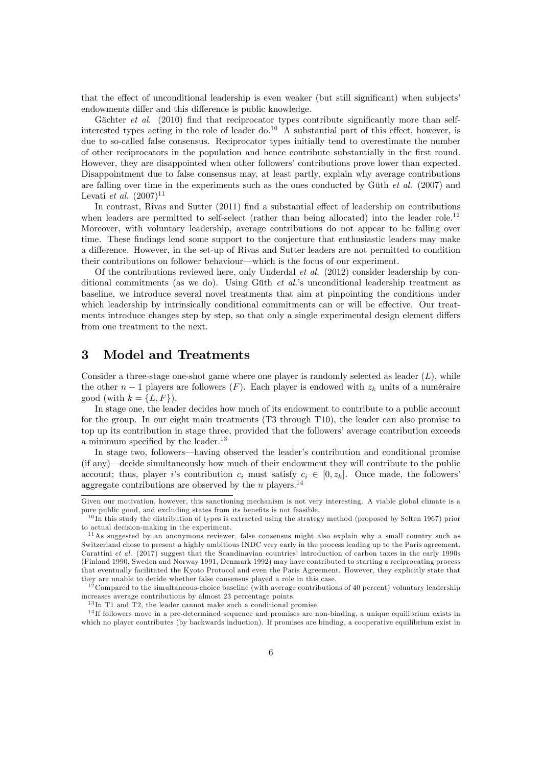that the effect of unconditional leadership is even weaker (but still significant) when subjects endowments differ and this difference is public knowledge.

Gächter *et al.* (2010) find that reciprocator types contribute significantly more than selfinterested types acting in the role of leader do.<sup>10</sup> A substantial part of this effect, however, is due to so-called false consensus. Reciprocator types initially tend to overestimate the number of other reciprocators in the population and hence contribute substantially in the first round. However, they are disappointed when other followers' contributions prove lower than expected. Disappointment due to false consensus may, at least partly, explain why average contributions are falling over time in the experiments such as the ones conducted by Güth  $et \ al.$  (2007) and Levati *et al.*  $(2007)^{11}$ 

In contrast, Rivas and Sutter  $(2011)$  find a substantial effect of leadership on contributions when leaders are permitted to self-select (rather than being allocated) into the leader role.<sup>12</sup> Moreover, with voluntary leadership, average contributions do not appear to be falling over time. These findings lend some support to the conjecture that enthusiastic leaders may make a difference. However, in the set-up of Rivas and Sutter leaders are not permitted to condition their contributions on follower behaviour—which is the focus of our experiment.

Of the contributions reviewed here, only Underdal *et al.* (2012) consider leadership by conditional commitments (as we do). Using Güth *et al.*'s unconditional leadership treatment as baseline, we introduce several novel treatments that aim at pinpointing the conditions under which leadership by intrinsically conditional commitments can or will be effective. Our treatments introduce changes step by step, so that only a single experimental design element differs from one treatment to the next.

# 3 Model and Treatments

Consider a three-stage one-shot game where one player is randomly selected as leader  $(L)$ , while the other  $n-1$  players are followers (F). Each player is endowed with  $z_k$  units of a numéraire good (with  $k = \{L, F\}$ ).

In stage one, the leader decides how much of its endowment to contribute to a public account for the group. In our eight main treatments (T3 through T10), the leader can also promise to top up its contribution in stage three, provided that the followers' average contribution exceeds a minimum specified by the leader. $13$ 

In stage two, followers—having observed the leader's contribution and conditional promise  $(i$  f any)—decide simultaneously how much of their endowment they will contribute to the public account; thus, player is contribution  $c_i$  must satisfy  $c_i \in [0, z_k]$ . Once made, the followers aggregate contributions are observed by the n players.<sup>14</sup>

Given our motivation, however, this sanctioning mechanism is not very interesting. A viable global climate is a pure public good, and excluding states from its benefits is not feasible.

 $10$  In this study the distribution of types is extracted using the strategy method (proposed by Selten 1967) prior to actual decision-making in the experiment.

<sup>11</sup>As suggested by an anonymous reviewer, false consensus might also explain why a small country such as Switzerland chose to present a highly ambitious INDC very early in the process leading up to the Paris agreement. Carattini et al.  $(2017)$  suggest that the Scandinavian countries' introduction of carbon taxes in the early 1990s (Finland 1990, Sweden and Norway 1991, Denmark 1992) may have contributed to starting a reciprocating process that eventually facilitated the Kyoto Protocol and even the Paris Agreement. However, they explicitly state that they are unable to decide whether false consensus played a role in this case.<br><sup>12</sup>Compared to decide whether false consensus played a role in this case.

<sup>12</sup> Compared to the simultaneous-choice baseline (with average contributions of 40 percent) voluntary leadership increases average contributions by almost 23 percentage points.

<sup>&</sup>lt;sup>13</sup> In T1 and T2, the leader cannot make such a conditional promise.

<sup>&</sup>lt;sup>14</sup>If followers move in a pre-determined sequence and promises are non-binding, a unique equilibrium exists in which no player contributes (by backwards induction). If promises are binding, a cooperative equilibrium exist in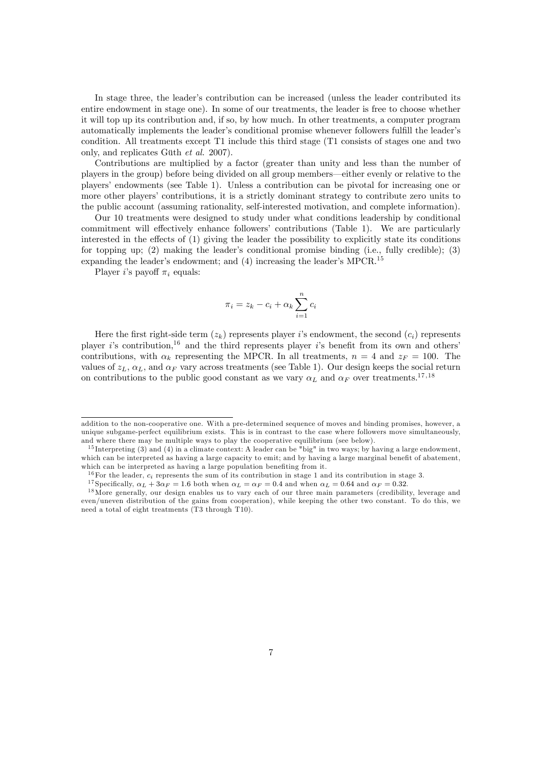In stage three, the leader's contribution can be increased (unless the leader contributed its entire endowment in stage one). In some of our treatments, the leader is free to choose whether it will top up its contribution and, if so, by how much. In other treatments, a computer program automatically implements the leader's conditional promise whenever followers fulfill the leader's condition. All treatments except T1 include this third stage (T1 consists of stages one and two only, and replicates Güth  $et$  al. 2007).

Contributions are multiplied by a factor (greater than unity and less than the number of players in the group) before being divided on all group members—either evenly or relative to the playersí endowments (see Table 1). Unless a contribution can be pivotal for increasing one or more other players' contributions, it is a strictly dominant strategy to contribute zero units to the public account (assuming rationality, self-interested motivation, and complete information).

Our 10 treatments were designed to study under what conditions leadership by conditional commitment will effectively enhance followers' contributions (Table 1). We are particularly interested in the effects of  $(1)$  giving the leader the possibility to explicitly state its conditions for topping up; (2) making the leader's conditional promise binding (i.e., fully credible); (3) expanding the leader's endowment; and  $(4)$  increasing the leader's MPCR.<sup>15</sup>

Player i's payoff  $\pi_i$  equals:

$$
\pi_i = z_k - c_i + \alpha_k \sum_{i=1}^n c_i
$$

Here the first right-side term  $(z_k)$  represents player i's endowment, the second  $(c_i)$  represents player i's contribution,<sup>16</sup> and the third represents player i's benefit from its own and others' contributions, with  $\alpha_k$  representing the MPCR. In all treatments,  $n = 4$  and  $z_F = 100$ . The values of  $z_L$ ,  $\alpha_L$ , and  $\alpha_F$  vary across treatments (see Table 1). Our design keeps the social return on contributions to the public good constant as we vary  $\alpha_L$  and  $\alpha_F$  over treatments.<sup>17,18</sup>

addition to the non-cooperative one. With a pre-determined sequence of moves and binding promises, however, a unique subgame-perfect equilibrium exists. This is in contrast to the case where followers move simultaneously, and where there may be multiple ways to play the cooperative equilibrium (see below).

<sup>&</sup>lt;sup>15</sup> Interpreting (3) and (4) in a climate context: A leader can be "big" in two ways; by having a large endowment, which can be interpreted as having a large capacity to emit; and by having a large marginal benefit of abatement, which can be interpreted as having a large population benefiting from it.

<sup>&</sup>lt;sup>16</sup>For the leader,  $c_i$  represents the sum of its contribution in stage 1 and its contribution in stage 3.

<sup>&</sup>lt;sup>17</sup> Specifically,  $\alpha_L + 3\alpha_F = 1.6$  both when  $\alpha_L = \alpha_F = 0.4$  and when  $\alpha_L = 0.64$  and  $\alpha_F = 0.32$ .

<sup>&</sup>lt;sup>18</sup>More generally, our design enables us to vary each of our three main parameters (credibility, leverage and even/uneven distribution of the gains from cooperation), while keeping the other two constant. To do this, we need a total of eight treatments (T3 through T10).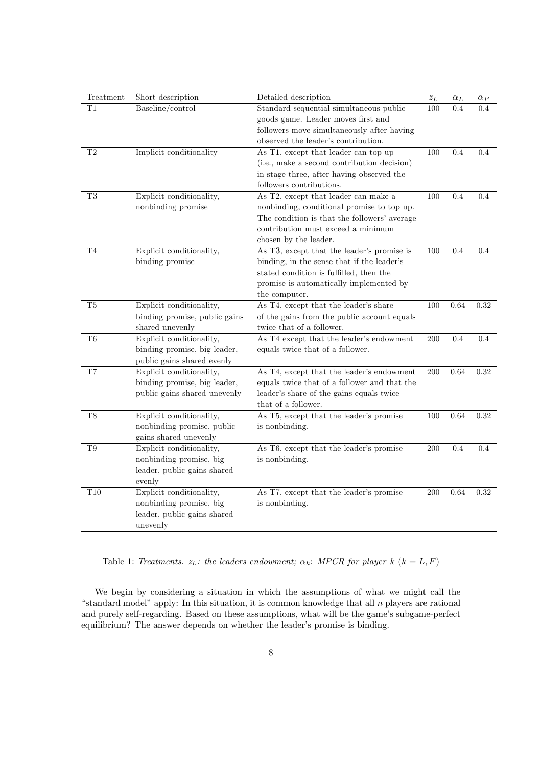| Treatment           | Short description             | Detailed description                         | $\boldsymbol{z}_L$ | $\alpha_L$ | $\alpha_F$ |
|---------------------|-------------------------------|----------------------------------------------|--------------------|------------|------------|
| $_{\rm T1}$         | Baseline/control              | Standard sequential-simultaneous public      | 100                | 0.4        | 0.4        |
|                     |                               | goods game. Leader moves first and           |                    |            |            |
|                     |                               | followers move simultaneously after having   |                    |            |            |
|                     |                               | observed the leader's contribution.          |                    |            |            |
| T2                  | Implicit conditionality       | As T1, except that leader can top up         | 100                | 0.4        | 0.4        |
|                     |                               | (i.e., make a second contribution decision)  |                    |            |            |
|                     |                               | in stage three, after having observed the    |                    |            |            |
|                     |                               | followers contributions.                     |                    |            |            |
| $\rm{T}3$           | Explicit conditionality,      | As T2, except that leader can make a         | 100                | 0.4        | 0.4        |
|                     | nonbinding promise            | nonbinding, conditional promise to top up.   |                    |            |            |
|                     |                               | The condition is that the followers' average |                    |            |            |
|                     |                               | contribution must exceed a minimum           |                    |            |            |
|                     |                               | chosen by the leader.                        |                    |            |            |
| T <sub>4</sub>      | Explicit conditionality,      | As T3, except that the leader's promise is   | 100                | 0.4        | 0.4        |
|                     | binding promise               | binding, in the sense that if the leader's   |                    |            |            |
|                     |                               | stated condition is fulfilled, then the      |                    |            |            |
|                     |                               | promise is automatically implemented by      |                    |            |            |
|                     |                               | the computer.                                |                    |            |            |
| T5                  | Explicit conditionality,      | As T4, except that the leader's share        | 100                | 0.64       | 0.32       |
|                     | binding promise, public gains | of the gains from the public account equals  |                    |            |            |
|                     | shared unevenly               | twice that of a follower.                    |                    |            |            |
| T6                  | Explicit conditionality,      | As T4 except that the leader's endowment     | 200                | 0.4        | 0.4        |
|                     | binding promise, big leader,  | equals twice that of a follower.             |                    |            |            |
|                     | public gains shared evenly    |                                              |                    |            |            |
| $\operatorname{T7}$ | Explicit conditionality,      | As T4, except that the leader's endowment    | 200                | 0.64       | 0.32       |
|                     | binding promise, big leader,  | equals twice that of a follower and that the |                    |            |            |
|                     | public gains shared unevenly  | leader's share of the gains equals twice     |                    |            |            |
|                     |                               | that of a follower.                          |                    |            |            |
| T8                  | Explicit conditionality,      | As T5, except that the leader's promise      | 100                | 0.64       | 0.32       |
|                     | nonbinding promise, public    | is nonbinding.                               |                    |            |            |
|                     | gains shared unevenly         |                                              |                    |            |            |
| T9                  | Explicit conditionality,      | As T6, except that the leader's promise      | $200\,$            | 0.4        | 0.4        |
|                     | nonbinding promise, big       | is nonbinding.                               |                    |            |            |
|                     | leader, public gains shared   |                                              |                    |            |            |
|                     | evenly                        |                                              |                    |            |            |
| T10                 | Explicit conditionality,      | As T7, except that the leader's promise      | 200                | 0.64       | 0.32       |
|                     | nonbinding promise, big       | is nonbinding.                               |                    |            |            |
|                     | leader, public gains shared   |                                              |                    |            |            |
|                     | unevenly                      |                                              |                    |            |            |

Table 1: Treatments.  $z_L$ : the leaders endowment;  $\alpha_k$ : MPCR for player k  $(k = L, F)$ 

We begin by considering a situation in which the assumptions of what we might call the "standard model" apply: In this situation, it is common knowledge that all  $n$  players are rational and purely self-regarding. Based on these assumptions, what will be the game's subgame-perfect equilibrium? The answer depends on whether the leader's promise is binding.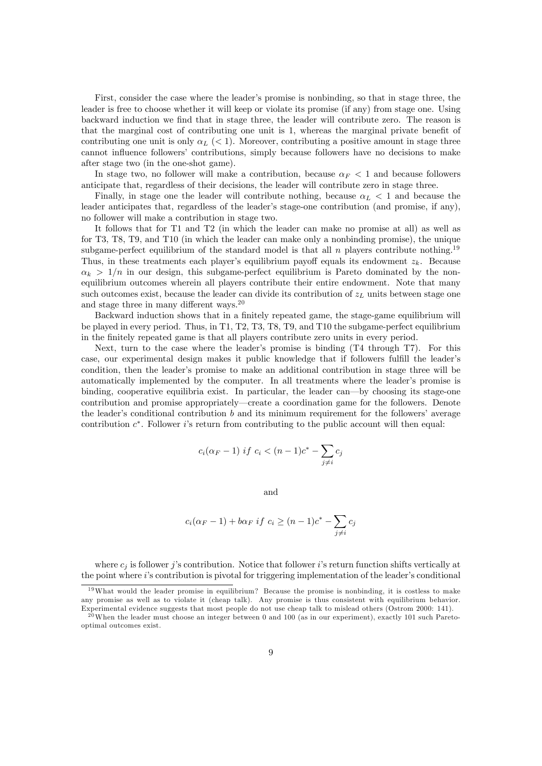First, consider the case where the leader's promise is nonbinding, so that in stage three, the leader is free to choose whether it will keep or violate its promise (if any) from stage one. Using backward induction we Önd that in stage three, the leader will contribute zero. The reason is that the marginal cost of contributing one unit is 1, whereas the marginal private benefit of contributing one unit is only  $\alpha_L$  (< 1). Moreover, contributing a positive amount in stage three cannot influence followers' contributions, simply because followers have no decisions to make after stage two (in the one-shot game).

In stage two, no follower will make a contribution, because  $\alpha_F < 1$  and because followers anticipate that, regardless of their decisions, the leader will contribute zero in stage three.

Finally, in stage one the leader will contribute nothing, because  $\alpha_L < 1$  and because the leader anticipates that, regardless of the leader's stage-one contribution (and promise, if any), no follower will make a contribution in stage two.

It follows that for T1 and T2 (in which the leader can make no promise at all) as well as for T3, T8, T9, and T10 (in which the leader can make only a nonbinding promise), the unique subgame-perfect equilibrium of the standard model is that all n players contribute nothing.<sup>19</sup> Thus, in these treatments each player's equilibrium payoff equals its endowment  $z_k$ . Because  $\alpha_k > 1/n$  in our design, this subgame-perfect equilibrium is Pareto dominated by the nonequilibrium outcomes wherein all players contribute their entire endowment. Note that many such outcomes exist, because the leader can divide its contribution of  $z_L$  units between stage one and stage three in many different ways. $20$ 

Backward induction shows that in a finitely repeated game, the stage-game equilibrium will be played in every period. Thus, in T1, T2, T3, T8, T9, and T10 the subgame-perfect equilibrium in the Önitely repeated game is that all players contribute zero units in every period.

Next, turn to the case where the leader's promise is binding  $(T4 \t{through } T7)$ . For this case, our experimental design makes it public knowledge that if followers fulfill the leader's condition, then the leader's promise to make an additional contribution in stage three will be automatically implemented by the computer. In all treatments where the leader's promise is binding, cooperative equilibria exist. In particular, the leader can—by choosing its stage-one contribution and promise appropriately—create a coordination game for the followers. Denote the leader's conditional contribution  $b$  and its minimum requirement for the followers' average contribution  $c^*$ . Follower is return from contributing to the public account will then equal:

$$
c_i(\alpha_F - 1) \text{ if } c_i < (n - 1)c^* - \sum_{j \neq i} c_j
$$

and

$$
c_i(\alpha_F - 1) + b\alpha_F \text{ if } c_i \ge (n - 1)c^* - \sum_{j \ne i} c_j
$$

where  $c_j$  is follower j's contribution. Notice that follower is return function shifts vertically at the point where  $i$ 's contribution is pivotal for triggering implementation of the leader's conditional

 $19$ What would the leader promise in equilibrium? Because the promise is nonbinding, it is costless to make any promise as well as to violate it (cheap talk). Any promise is thus consistent with equilibrium behavior. Experimental evidence suggests that most people do not use cheap talk to mislead others (Ostrom 2000: 141).

 $^{20}$ When the leader must choose an integer between 0 and 100 (as in our experiment), exactly 101 such Paretooptimal outcomes exist.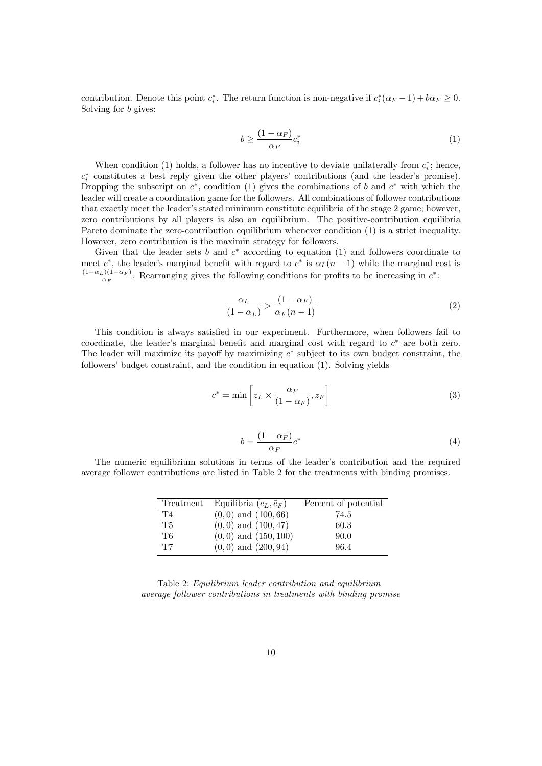contribution. Denote this point  $c_i^*$ . The return function is non-negative if  $c_i^*(\alpha_F - 1) + b\alpha_F \ge 0$ . Solving for b gives:

$$
b \ge \frac{(1 - \alpha_F)}{\alpha_F} c_i^* \tag{1}
$$

When condition (1) holds, a follower has no incentive to deviate unilaterally from  $c_i^*$ ; hence,  $c_i^*$  constitutes a best reply given the other players' contributions (and the leader's promise). Dropping the subscript on  $c^*$ , condition (1) gives the combinations of b and  $c^*$  with which the leader will create a coordination game for the followers. All combinations of follower contributions that exactly meet the leader's stated minimum constitute equilibria of the stage 2 game; however, zero contributions by all players is also an equilibrium. The positive-contribution equilibria Pareto dominate the zero-contribution equilibrium whenever condition (1) is a strict inequality. However, zero contribution is the maximin strategy for followers.

Given that the leader sets b and  $c^*$  according to equation (1) and followers coordinate to meet  $c^*$ , the leader's marginal benefit with regard to  $c^*$  is  $\alpha_L(n-1)$  while the marginal cost is  $\frac{(1-\alpha_L)(1-\alpha_F)}{\alpha_F}$ . Rearranging gives the following conditions for profits to be increasing in  $c^*$ .

$$
\frac{\alpha_L}{(1-\alpha_L)} > \frac{(1-\alpha_F)}{\alpha_F(n-1)}\tag{2}
$$

This condition is always satisfied in our experiment. Furthermore, when followers fail to coordinate, the leader's marginal benefit and marginal cost with regard to  $c^*$  are both zero. The leader will maximize its payoff by maximizing  $c^*$  subject to its own budget constraint, the followers' budget constraint, and the condition in equation  $(1)$ . Solving yields

$$
c^* = \min\left[z_L \times \frac{\alpha_F}{(1 - \alpha_F)}, z_F\right]
$$
\n(3)

$$
b = \frac{(1 - \alpha_F)}{\alpha_F} c^* \tag{4}
$$

The numeric equilibrium solutions in terms of the leader's contribution and the required average follower contributions are listed in Table 2 for the treatments with binding promises.

| Treatment | Equilibria $(c_L, \bar{c}_F)$ | Percent of potential |
|-----------|-------------------------------|----------------------|
| T4        | $(0,0)$ and $(100,66)$        | 74.5                 |
| T5        | $(0,0)$ and $(100,47)$        | 60.3                 |
| T6        | $(0,0)$ and $(150,100)$       | 90.0                 |
| T7        | $(0,0)$ and $(200,94)$        | 96.4                 |

Table 2: Equilibrium leader contribution and equilibrium average follower contributions in treatments with binding promise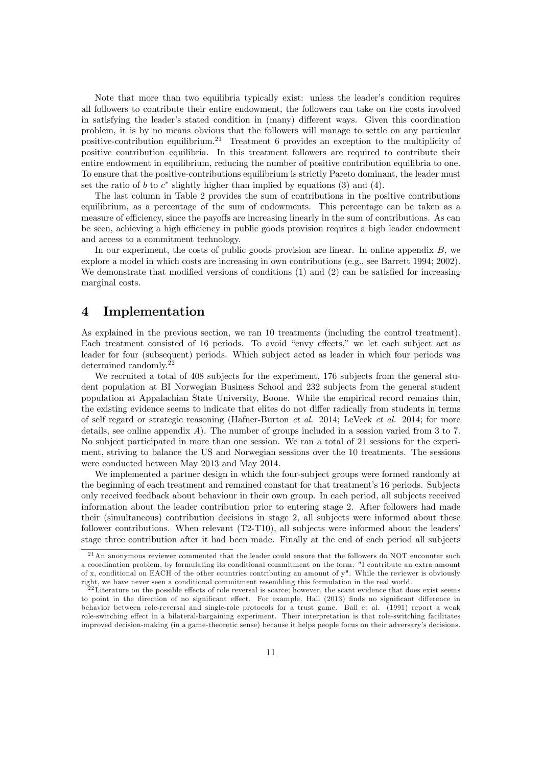Note that more than two equilibria typically exist: unless the leader's condition requires all followers to contribute their entire endowment, the followers can take on the costs involved in satisfying the leader's stated condition in (many) different ways. Given this coordination problem, it is by no means obvious that the followers will manage to settle on any particular positive-contribution equilibrium.<sup>21</sup> Treatment 6 provides an exception to the multiplicity of positive contribution equilibria. In this treatment followers are required to contribute their entire endowment in equilibrium, reducing the number of positive contribution equilibria to one. To ensure that the positive-contributions equilibrium is strictly Pareto dominant, the leader must set the ratio of b to  $c^*$  slightly higher than implied by equations (3) and (4).

The last column in Table 2 provides the sum of contributions in the positive contributions equilibrium, as a percentage of the sum of endowments. This percentage can be taken as a measure of efficiency, since the payoffs are increasing linearly in the sum of contributions. As can be seen, achieving a high efficiency in public goods provision requires a high leader endowment and access to a commitment technology.

In our experiment, the costs of public goods provision are linear. In online appendix  $B$ , we explore a model in which costs are increasing in own contributions (e.g., see Barrett 1994; 2002). We demonstrate that modified versions of conditions  $(1)$  and  $(2)$  can be satisfied for increasing marginal costs.

### 4 Implementation

As explained in the previous section, we ran 10 treatments (including the control treatment). Each treatment consisted of 16 periods. To avoid "envy effects," we let each subject act as leader for four (subsequent) periods. Which subject acted as leader in which four periods was determined randomly.<sup>22</sup>

We recruited a total of 408 subjects for the experiment, 176 subjects from the general student population at BI Norwegian Business School and 232 subjects from the general student population at Appalachian State University, Boone. While the empirical record remains thin, the existing evidence seems to indicate that elites do not differ radically from students in terms of self regard or strategic reasoning (Hafner-Burton et al. 2014; LeVeck et al. 2014; for more details, see online appendix  $A$ ). The number of groups included in a session varied from 3 to 7. No subject participated in more than one session. We ran a total of 21 sessions for the experiment, striving to balance the US and Norwegian sessions over the 10 treatments. The sessions were conducted between May 2013 and May 2014.

We implemented a partner design in which the four-subject groups were formed randomly at the beginning of each treatment and remained constant for that treatment's 16 periods. Subjects only received feedback about behaviour in their own group. In each period, all subjects received information about the leader contribution prior to entering stage 2. After followers had made their (simultaneous) contribution decisions in stage 2, all subjects were informed about these follower contributions. When relevant  $(T2-T10)$ , all subjects were informed about the leaders stage three contribution after it had been made. Finally at the end of each period all subjects

<sup>&</sup>lt;sup>21</sup>An anonymous reviewer commented that the leader could ensure that the followers do NOT encounter such a coordination problem, by formulating its conditional commitment on the form: "I contribute an extra amount of x, conditional on EACH of the other countries contributing an amount of y". While the reviewer is obviously right, we have never seen a conditional commitment resembling this formulation in the real world.

 $^{22}$ Literature on the possible effects of role reversal is scarce; however, the scant evidence that does exist seems to point in the direction of no significant effect. For example, Hall (2013) finds no significant difference in behavior between role-reversal and single-role protocols for a trust game. Ball et al. (1991) report a weak role-switching effect in a bilateral-bargaining experiment. Their interpretation is that role-switching facilitates improved decision-making (in a game-theoretic sense) because it helps people focus on their adversaryís decisions.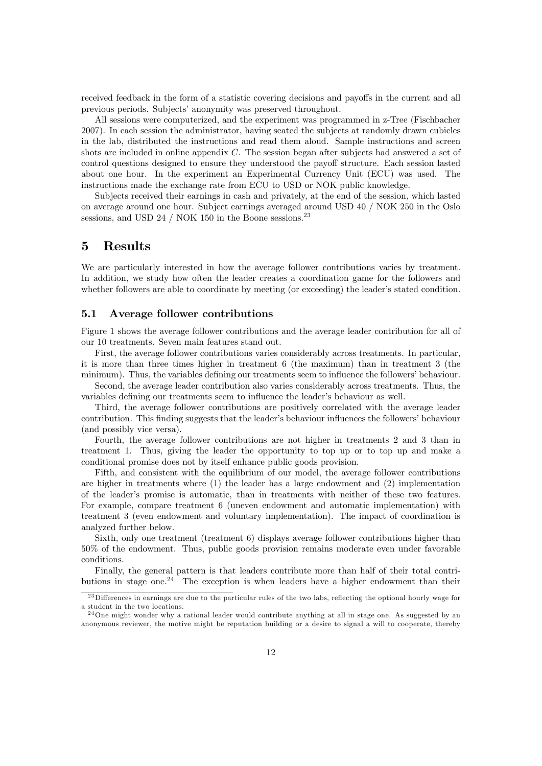received feedback in the form of a statistic covering decisions and payoffs in the current and all previous periods. Subjects' anonymity was preserved throughout.

All sessions were computerized, and the experiment was programmed in z-Tree (Fischbacher 2007). In each session the administrator, having seated the subjects at randomly drawn cubicles in the lab, distributed the instructions and read them aloud. Sample instructions and screen shots are included in online appendix C. The session began after subjects had answered a set of control questions designed to ensure they understood the payoff structure. Each session lasted about one hour. In the experiment an Experimental Currency Unit (ECU) was used. The instructions made the exchange rate from ECU to USD or NOK public knowledge.

Subjects received their earnings in cash and privately, at the end of the session, which lasted on average around one hour. Subject earnings averaged around USD 40 / NOK 250 in the Oslo sessions, and USD 24 / NOK 150 in the Boone sessions.<sup>23</sup>

### 5 Results

We are particularly interested in how the average follower contributions varies by treatment. In addition, we study how often the leader creates a coordination game for the followers and whether followers are able to coordinate by meeting (or exceeding) the leader's stated condition.

### 5.1 Average follower contributions

Figure 1 shows the average follower contributions and the average leader contribution for all of our 10 treatments. Seven main features stand out.

First, the average follower contributions varies considerably across treatments. In particular, it is more than three times higher in treatment 6 (the maximum) than in treatment 3 (the minimum). Thus, the variables defining our treatments seem to influence the followers' behaviour.

Second, the average leader contribution also varies considerably across treatments. Thus, the variables defining our treatments seem to influence the leader's behaviour as well.

Third, the average follower contributions are positively correlated with the average leader contribution. This finding suggests that the leader's behaviour influences the followers' behaviour (and possibly vice versa).

Fourth, the average follower contributions are not higher in treatments 2 and 3 than in treatment 1. Thus, giving the leader the opportunity to top up or to top up and make a conditional promise does not by itself enhance public goods provision.

Fifth, and consistent with the equilibrium of our model, the average follower contributions are higher in treatments where (1) the leader has a large endowment and (2) implementation of the leaderís promise is automatic, than in treatments with neither of these two features. For example, compare treatment 6 (uneven endowment and automatic implementation) with treatment 3 (even endowment and voluntary implementation). The impact of coordination is analyzed further below.

Sixth, only one treatment (treatment 6) displays average follower contributions higher than 50% of the endowment. Thus, public goods provision remains moderate even under favorable conditions.

Finally, the general pattern is that leaders contribute more than half of their total contributions in stage one.<sup>24</sup> The exception is when leaders have a higher endowment than their

<sup>&</sup>lt;sup>23</sup>Differences in earnings are due to the particular rules of the two labs, reflecting the optional hourly wage for a student in the two locations.

<sup>&</sup>lt;sup>24</sup>One might wonder why a rational leader would contribute anything at all in stage one. As suggested by an anonymous reviewer, the motive might be reputation building or a desire to signal a will to cooperate, thereby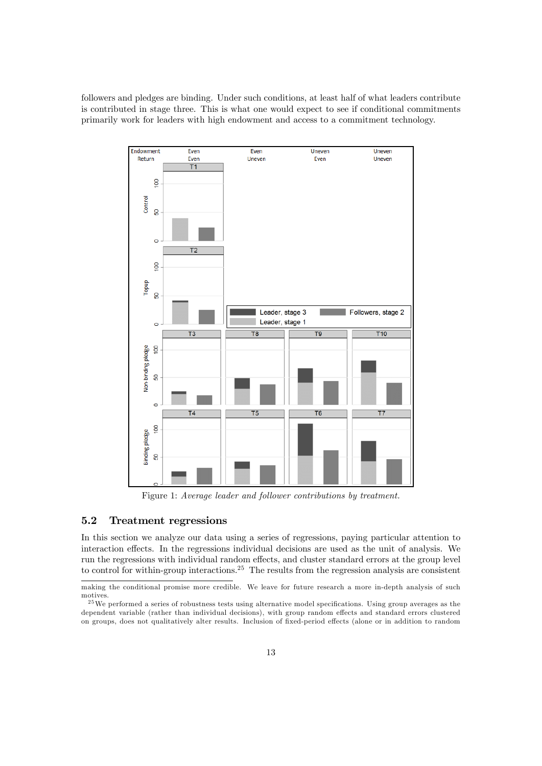followers and pledges are binding. Under such conditions, at least half of what leaders contribute is contributed in stage three. This is what one would expect to see if conditional commitments primarily work for leaders with high endowment and access to a commitment technology.



Figure 1: Average leader and follower contributions by treatment.

### 5.2 Treatment regressions

In this section we analyze our data using a series of regressions, paying particular attention to interaction effects. In the regressions individual decisions are used as the unit of analysis. We run the regressions with individual random effects, and cluster standard errors at the group level to control for within-group interactions.<sup>25</sup> The results from the regression analysis are consistent

making the conditional promise more credible. We leave for future research a more in-depth analysis of such motives.

<sup>&</sup>lt;sup>25</sup>We performed a series of robustness tests using alternative model specifications. Using group averages as the dependent variable (rather than individual decisions), with group random effects and standard errors clustered on groups, does not qualitatively alter results. Inclusion of fixed-period effects (alone or in addition to random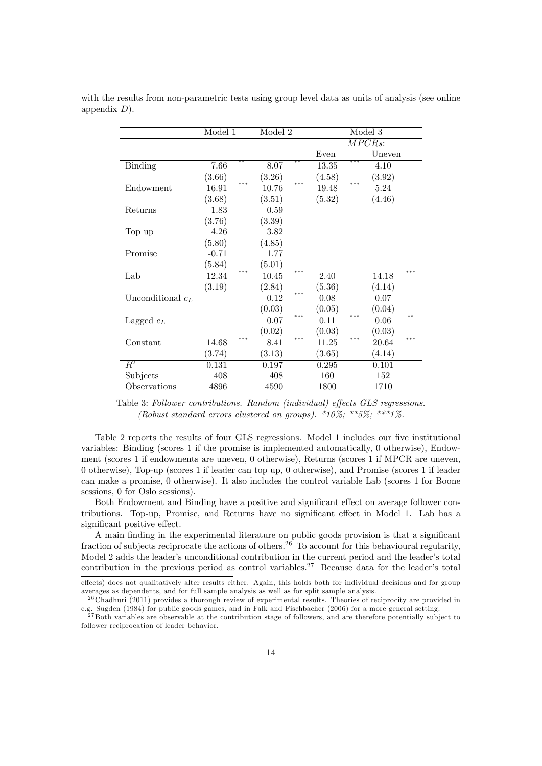|                     | Model 1 |     | Model 2 |                    |        |     | Model 3 |     |
|---------------------|---------|-----|---------|--------------------|--------|-----|---------|-----|
|                     |         |     |         | $\overline{MPCRs}$ |        |     |         |     |
|                     |         |     |         |                    | Even   |     | Uneven  |     |
| Binding             | 7.66    | **  | 8.07    | $**$               | 13.35  | *** | 4.10    |     |
|                     | (3.66)  |     | (3.26)  |                    | (4.58) |     | (3.92)  |     |
| Endowment           | 16.91   | *** | 10.76   | ***                | 19.48  | *** | 5.24    |     |
|                     | (3.68)  |     | (3.51)  |                    | (5.32) |     | (4.46)  |     |
| Returns             | 1.83    |     | 0.59    |                    |        |     |         |     |
|                     | (3.76)  |     | (3.39)  |                    |        |     |         |     |
| Top up              | 4.26    |     | 3.82    |                    |        |     |         |     |
|                     | (5.80)  |     | (4.85)  |                    |        |     |         |     |
| Promise             | $-0.71$ |     | 1.77    |                    |        |     |         |     |
|                     | (5.84)  |     | (5.01)  |                    |        |     |         |     |
| Lab                 | 12.34   | *** | 10.45   | ***                | 2.40   |     | 14.18   | *** |
|                     | (3.19)  |     | (2.84)  |                    | (5.36) |     | (4.14)  |     |
| Unconditional $c_L$ |         |     | 0.12    | ***                | 0.08   |     | 0.07    |     |
|                     |         |     | (0.03)  |                    | (0.05) |     | (0.04)  |     |
| Lagged $c_L$        |         |     | 0.07    | ***                | 0.11   | *** | 0.06    | **  |
|                     |         |     | (0.02)  |                    | (0.03) |     | (0.03)  |     |
| Constant            | 14.68   | *** | 8.41    | ***                | 11.25  | *** | 20.64   | *** |
|                     | (3.74)  |     | (3.13)  |                    | (3.65) |     | (4.14)  |     |
| $\overline{R^2}$    | 0.131   |     | 0.197   |                    | 0.295  |     | 0.101   |     |
| Subjects            | 408     |     | 408     |                    | 160    |     | 152     |     |
| Observations        | 4896    |     | 4590    |                    | 1800   |     | 1710    |     |

with the results from non-parametric tests using group level data as units of analysis (see online appendix  $D$ ).

Table 2 reports the results of four GLS regressions. Model 1 includes our five institutional variables: Binding (scores 1 if the promise is implemented automatically, 0 otherwise), Endowment (scores 1 if endowments are uneven, 0 otherwise), Returns (scores 1 if MPCR are uneven, 0 otherwise), Top-up (scores 1 if leader can top up, 0 otherwise), and Promise (scores 1 if leader can make a promise, 0 otherwise). It also includes the control variable Lab (scores 1 for Boone sessions, 0 for Oslo sessions).

Both Endowment and Binding have a positive and significant effect on average follower contributions. Top-up, Promise, and Returns have no significant effect in Model 1. Lab has a significant positive effect.

A main finding in the experimental literature on public goods provision is that a significant fraction of subjects reciprocate the actions of others.<sup>26</sup> To account for this behavioural regularity, Model 2 adds the leader's unconditional contribution in the current period and the leader's total contribution in the previous period as control variables.<sup>27</sup> Because data for the leader's total

Table 3: Follower contributions. Random (individual) effects GLS regressions. (Robust standard errors clustered on groups).  $*10\%$ ;  $**5\%$ ;  $**1\%$ .

effects) does not qualitatively alter results either. Again, this holds both for individual decisions and for group averages as dependents, and for full sample analysis as well as for split sample analysis.

<sup>&</sup>lt;sup>26</sup> Chadhuri (2011) provides a thorough review of experimental results. Theories of reciprocity are provided in e.g. Sugden (1984) for public goods games, and in Falk and Fischbacher (2006) for a more general setting.

 $^{27}$  Both variables are observable at the contribution stage of followers, and are therefore potentially subject to follower reciprocation of leader behavior.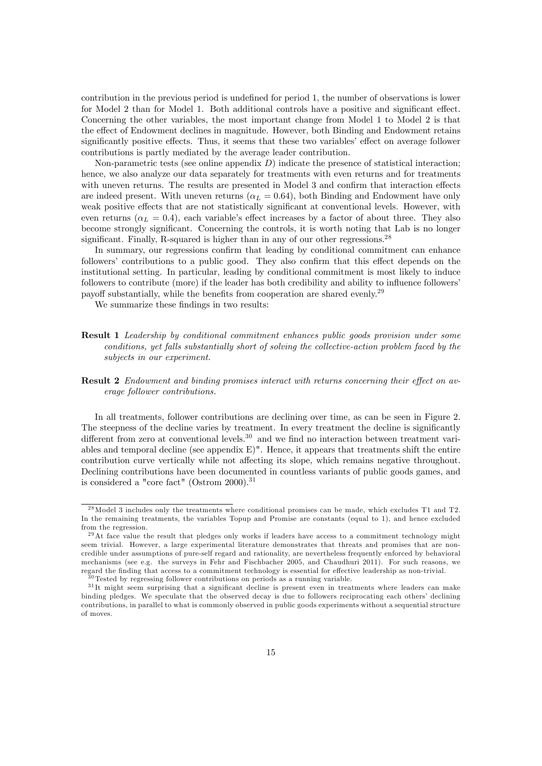contribution in the previous period is undefined for period 1, the number of observations is lower for Model 2 than for Model 1. Both additional controls have a positive and significant effect. Concerning the other variables, the most important change from Model 1 to Model 2 is that the effect of Endowment declines in magnitude. However, both Binding and Endowment retains significantly positive effects. Thus, it seems that these two variables' effect on average follower contributions is partly mediated by the average leader contribution.

Non-parametric tests (see online appendix  $D$ ) indicate the presence of statistical interaction; hence, we also analyze our data separately for treatments with even returns and for treatments with uneven returns. The results are presented in Model 3 and confirm that interaction effects are indeed present. With uneven returns ( $\alpha_L = 0.64$ ), both Binding and Endowment have only weak positive effects that are not statistically significant at conventional levels. However, with even returns ( $\alpha_L = 0.4$ ), each variable's effect increases by a factor of about three. They also become strongly significant. Concerning the controls, it is worth noting that Lab is no longer significant. Finally, R-squared is higher than in any of our other regressions.<sup>28</sup>

In summary, our regressions confirm that leading by conditional commitment can enhance followers' contributions to a public good. They also confirm that this effect depends on the institutional setting. In particular, leading by conditional commitment is most likely to induce followers to contribute (more) if the leader has both credibility and ability to influence followers payoff substantially, while the benefits from cooperation are shared evenly.<sup>29</sup>

We summarize these findings in two results:

Result 1 Leadership by conditional commitment enhances public goods provision under some conditions, yet falls substantially short of solving the collective-action problem faced by the subjects in our experiment.

#### **Result 2** Endowment and binding promises interact with returns concerning their effect on average follower contributions.

In all treatments, follower contributions are declining over time, as can be seen in Figure 2. The steepness of the decline varies by treatment. In every treatment the decline is significantly different from zero at conventional levels.<sup>30</sup> and we find no interaction between treatment variables and temporal decline (see appendix E)". Hence, it appears that treatments shift the entire contribution curve vertically while not affecting its slope, which remains negative throughout. Declining contributions have been documented in countless variants of public goods games, and is considered a "core fact" (Ostrom  $2000$ ).<sup>31</sup>

<sup>&</sup>lt;sup>28</sup>Model 3 includes only the treatments where conditional promises can be made, which excludes T1 and T2. In the remaining treatments, the variables Topup and Promise are constants (equal to 1), and hence excluded from the regression.

 $^{29}$ At face value the result that pledges only works if leaders have access to a commitment technology might seem trivial. However, a large experimental literature demonstrates that threats and promises that are noncredible under assumptions of pure-self regard and rationality, are nevertheless frequently enforced by behavioral mechanisms (see e.g. the surveys in Fehr and Fischbacher 2005, and Chaudhuri 2011). For such reasons, we regard the finding that access to a commitment technology is essential for effective leadership as non-trivial.

<sup>30</sup> Tested by regressing follower contributions on periods as a running variable.

 $31$ It might seem surprising that a significant decline is present even in treatments where leaders can make binding pledges. We speculate that the observed decay is due to followers reciprocating each others' declining contributions, in parallel to what is commonly observed in public goods experiments without a sequential structure of moves.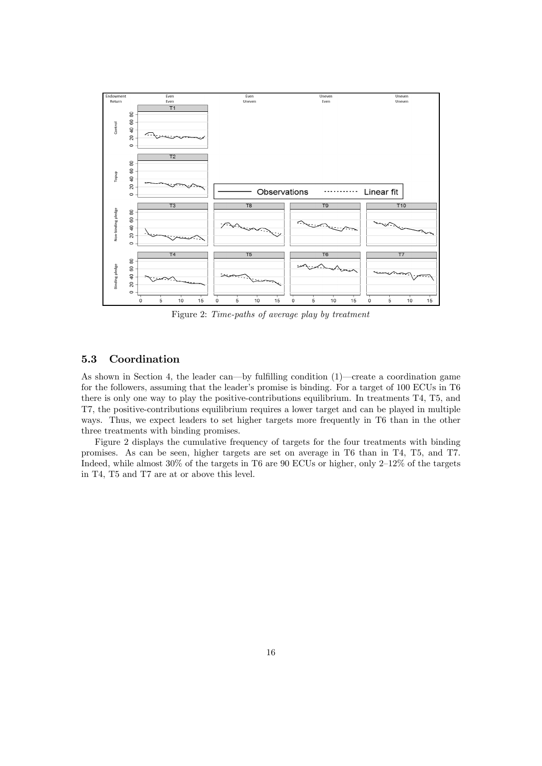

Figure 2: Time-paths of average play by treatment

### 5.3 Coordination

As shown in Section 4, the leader can—by fulfilling condition  $(1)$ —create a coordination game for the followers, assuming that the leader's promise is binding. For a target of 100 ECUs in T6 there is only one way to play the positive-contributions equilibrium. In treatments T4, T5, and T7, the positive-contributions equilibrium requires a lower target and can be played in multiple ways. Thus, we expect leaders to set higher targets more frequently in T6 than in the other three treatments with binding promises.

Figure 2 displays the cumulative frequency of targets for the four treatments with binding promises. As can be seen, higher targets are set on average in T6 than in T4, T5, and T7. Indeed, while almost  $30\%$  of the targets in T6 are 90 ECUs or higher, only  $2-12\%$  of the targets in T4, T5 and T7 are at or above this level.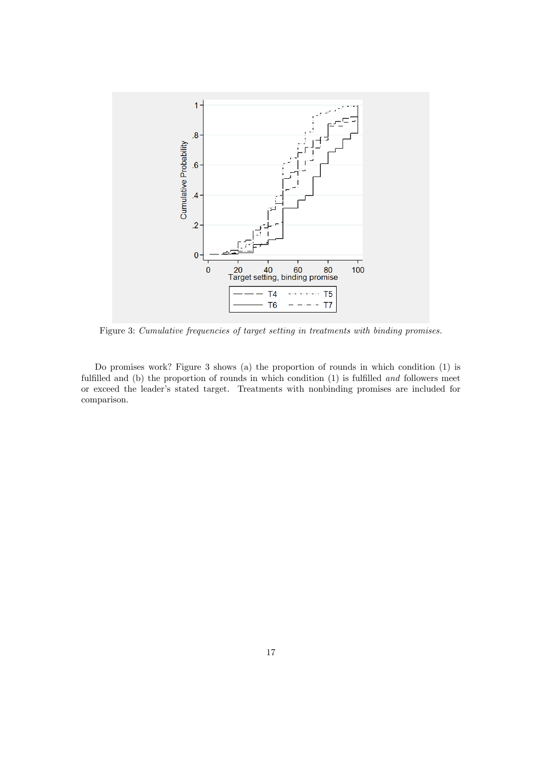

Figure 3: Cumulative frequencies of target setting in treatments with binding promises.

Do promises work? Figure 3 shows (a) the proportion of rounds in which condition (1) is fulfilled and (b) the proportion of rounds in which condition  $(1)$  is fulfilled and followers meet or exceed the leader's stated target. Treatments with nonbinding promises are included for comparison.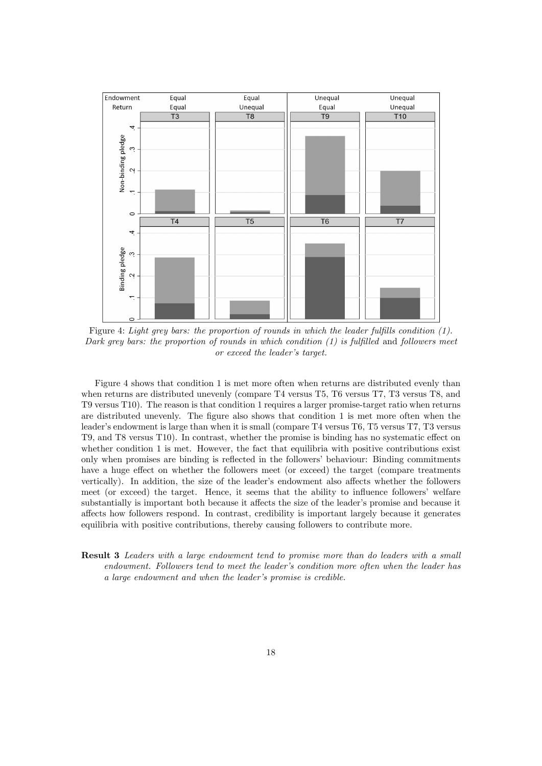

Figure 4: Light grey bars: the proportion of rounds in which the leader fulfills condition  $(1)$ . Dark grey bars: the proportion of rounds in which condition  $(1)$  is fulfilled and followers meet or exceed the leader's target.

Figure 4 shows that condition 1 is met more often when returns are distributed evenly than when returns are distributed unevenly (compare T4 versus T5, T6 versus T7, T3 versus T8, and T9 versus T10). The reason is that condition 1 requires a larger promise-target ratio when returns are distributed unevenly. The figure also shows that condition 1 is met more often when the leader's endowment is large than when it is small (compare T4 versus T6, T5 versus T7, T3 versus T9, and T8 versus T10). In contrast, whether the promise is binding has no systematic effect on whether condition 1 is met. However, the fact that equilibria with positive contributions exist only when promises are binding is reflected in the followers' behaviour: Binding commitments have a huge effect on whether the followers meet (or exceed) the target (compare treatments vertically). In addition, the size of the leader's endowment also affects whether the followers meet (or exceed) the target. Hence, it seems that the ability to influence followers' welfare substantially is important both because it affects the size of the leader's promise and because it affects how followers respond. In contrast, credibility is important largely because it generates equilibria with positive contributions, thereby causing followers to contribute more.

Result 3 Leaders with a large endowment tend to promise more than do leaders with a small endowment. Followers tend to meet the leader's condition more often when the leader has a large endowment and when the leader's promise is credible.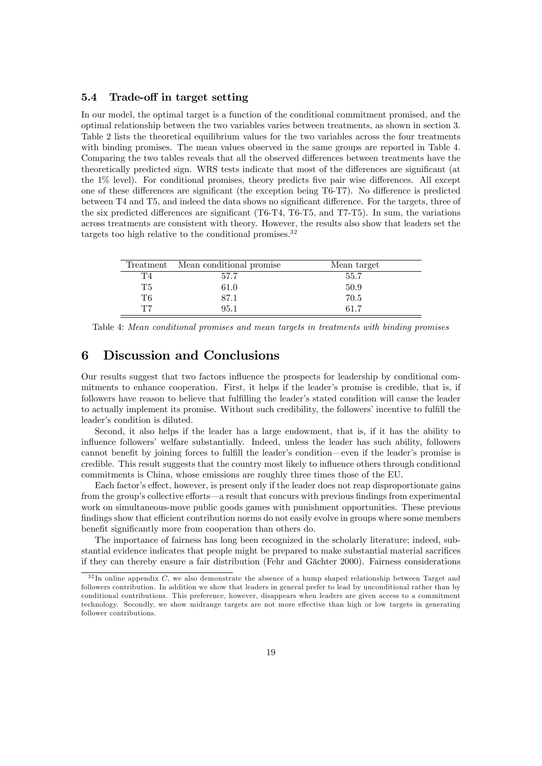### 5.4 Trade-off in target setting

In our model, the optimal target is a function of the conditional commitment promised, and the optimal relationship between the two variables varies between treatments, as shown in section 3. Table 2 lists the theoretical equilibrium values for the two variables across the four treatments with binding promises. The mean values observed in the same groups are reported in Table 4. Comparing the two tables reveals that all the observed differences between treatments have the theoretically predicted sign. WRS tests indicate that most of the differences are significant (at the  $1\%$  level). For conditional promises, theory predicts five pair wise differences. All except one of these differences are significant (the exception being T6-T7). No difference is predicted between T4 and T5, and indeed the data shows no significant difference. For the targets, three of the six predicted differences are significant (T6-T4, T6-T5, and T7-T5). In sum, the variations across treatments are consistent with theory. However, the results also show that leaders set the targets too high relative to the conditional promises.<sup>32</sup>

|    | Treatment Mean conditional promise | Mean target |
|----|------------------------------------|-------------|
| T4 | 57.7                               | 55.7        |
| T5 | 61.0                               | 50.9        |
| Т6 | 87.1                               | 70.5        |
| T7 | 95.1                               | -61.7       |

Table 4: Mean conditional promises and mean targets in treatments with binding promises

# 6 Discussion and Conclusions

Our results suggest that two factors ináuence the prospects for leadership by conditional commitments to enhance cooperation. First, it helps if the leader's promise is credible, that is, if followers have reason to believe that fulfilling the leader's stated condition will cause the leader to actually implement its promise. Without such credibility, the followers' incentive to fulfill the leader's condition is diluted.

Second, it also helps if the leader has a large endowment, that is, if it has the ability to influence followers' welfare substantially. Indeed, unless the leader has such ability, followers cannot benefit by joining forces to fulfill the leader's condition—even if the leader's promise is credible. This result suggests that the country most likely to ináuence others through conditional commitments is China, whose emissions are roughly three times those of the EU.

Each factor's effect, however, is present only if the leader does not reap disproportionate gains from the group's collective efforts—a result that concurs with previous findings from experimental work on simultaneous-move public goods games with punishment opportunities. These previous findings show that efficient contribution norms do not easily evolve in groups where some members benefit significantly more from cooperation than others do.

The importance of fairness has long been recognized in the scholarly literature; indeed, substantial evidence indicates that people might be prepared to make substantial material sacrifices if they can thereby ensure a fair distribution (Fehr and Gächter 2000). Fairness considerations

 $32$  In online appendix C, we also demonstrate the absence of a hump shaped relationship between Target and followers contribution. In addition we show that leaders in general prefer to lead by unconditional rather than by conditional contributions. This preference, however, disappears when leaders are given access to a commitment technology. Secondly, we show midrange targets are not more effective than high or low targets in generating follower contributions.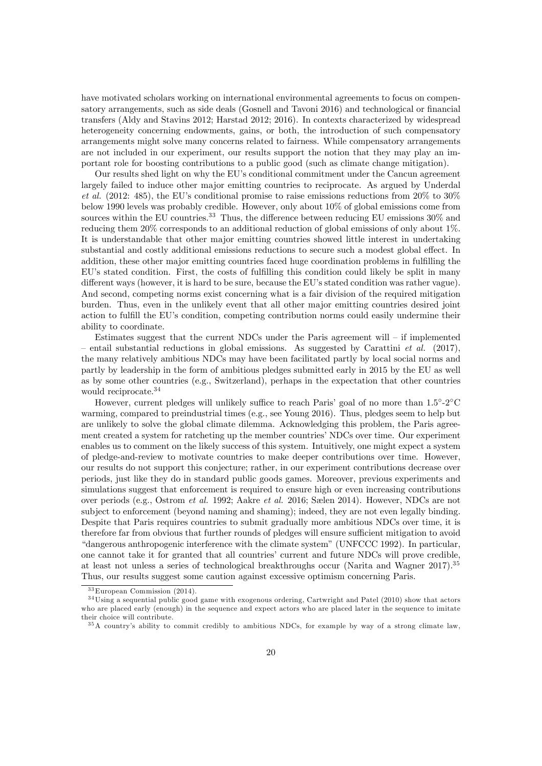have motivated scholars working on international environmental agreements to focus on compensatory arrangements, such as side deals (Gosnell and Tavoni 2016) and technological or financial transfers (Aldy and Stavins 2012; Harstad 2012; 2016). In contexts characterized by widespread heterogeneity concerning endowments, gains, or both, the introduction of such compensatory arrangements might solve many concerns related to fairness. While compensatory arrangements are not included in our experiment, our results support the notion that they may play an important role for boosting contributions to a public good (such as climate change mitigation).

Our results shed light on why the EU's conditional commitment under the Cancun agreement largely failed to induce other major emitting countries to reciprocate. As argued by Underdal et al. (2012: 485), the EU's conditional promise to raise emissions reductions from  $20\%$  to  $30\%$ below 1990 levels was probably credible. However, only about 10% of global emissions come from sources within the EU countries.<sup>33</sup> Thus, the difference between reducing EU emissions  $30\%$  and reducing them 20% corresponds to an additional reduction of global emissions of only about 1%. It is understandable that other major emitting countries showed little interest in undertaking substantial and costly additional emissions reductions to secure such a modest global effect. In addition, these other major emitting countries faced huge coordination problems in fulfilling the EU's stated condition. First, the costs of fulfilling this condition could likely be split in many different ways (however, it is hard to be sure, because the EU's stated condition was rather vague). And second, competing norms exist concerning what is a fair division of the required mitigation burden. Thus, even in the unlikely event that all other major emitting countries desired joint action to fulfill the EU's condition, competing contribution norms could easily undermine their ability to coordinate.

Estimates suggest that the current NDCs under the Paris agreement will  $-$  if implemented – entail substantial reductions in global emissions. As suggested by Carattini et al. (2017), the many relatively ambitious NDCs may have been facilitated partly by local social norms and partly by leadership in the form of ambitious pledges submitted early in 2015 by the EU as well as by some other countries (e.g., Switzerland), perhaps in the expectation that other countries would reciprocate.<sup>34</sup>

However, current pledges will unlikely suffice to reach Paris' goal of no more than  $1.5^{\circ}$ -2 $^{\circ}$ C warming, compared to preindustrial times (e.g., see Young 2016). Thus, pledges seem to help but are unlikely to solve the global climate dilemma. Acknowledging this problem, the Paris agreement created a system for ratcheting up the member countries' NDCs over time. Our experiment enables us to comment on the likely success of this system. Intuitively, one might expect a system of pledge-and-review to motivate countries to make deeper contributions over time. However, our results do not support this conjecture; rather, in our experiment contributions decrease over periods, just like they do in standard public goods games. Moreover, previous experiments and simulations suggest that enforcement is required to ensure high or even increasing contributions over periods (e.g., Ostrom *et al.* 1992; Aakre *et al.* 2016; Sælen 2014). However, NDCs are not subject to enforcement (beyond naming and shaming); indeed, they are not even legally binding. Despite that Paris requires countries to submit gradually more ambitious NDCs over time, it is therefore far from obvious that further rounds of pledges will ensure sufficient mitigation to avoid ìdangerous anthropogenic interference with the climate systemî(UNFCCC 1992). In particular, one cannot take it for granted that all countries' current and future NDCs will prove credible, at least not unless a series of technological breakthroughs occur (Narita and Wagner 2017).<sup>35</sup> Thus, our results suggest some caution against excessive optimism concerning Paris.

<sup>33</sup>European Commission (2014).

<sup>34</sup>Using a sequential public good game with exogenous ordering, Cartwright and Patel (2010) show that actors who are placed early (enough) in the sequence and expect actors who are placed later in the sequence to imitate their choice will contribute.

<sup>35</sup>A countryís ability to commit credibly to ambitious NDCs, for example by way of a strong climate law,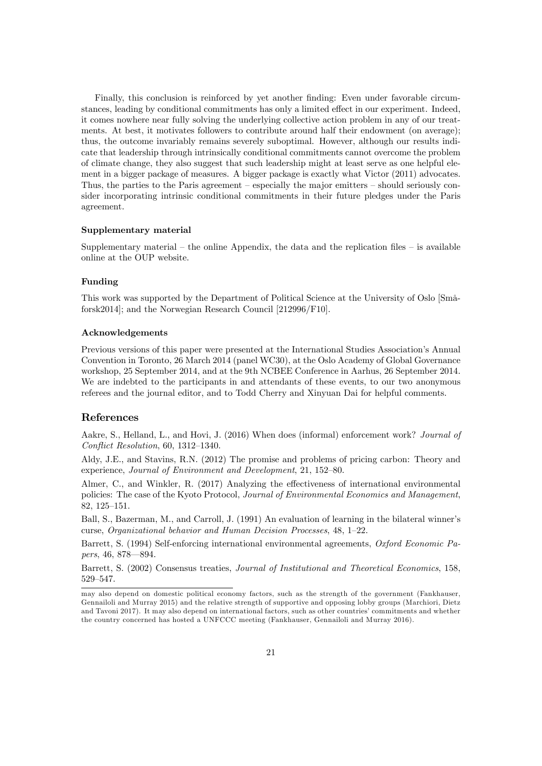Finally, this conclusion is reinforced by yet another finding: Even under favorable circumstances, leading by conditional commitments has only a limited effect in our experiment. Indeed, it comes nowhere near fully solving the underlying collective action problem in any of our treatments. At best, it motivates followers to contribute around half their endowment (on average); thus, the outcome invariably remains severely suboptimal. However, although our results indicate that leadership through intrinsically conditional commitments cannot overcome the problem of climate change, they also suggest that such leadership might at least serve as one helpful element in a bigger package of measures. A bigger package is exactly what Victor (2011) advocates. Thus, the parties to the Paris agreement  $-$  especially the major emitters  $-$  should seriously consider incorporating intrinsic conditional commitments in their future pledges under the Paris agreement.

#### Supplementary material

Supplementary material  $-$  the online Appendix, the data and the replication files  $-$  is available online at the OUP website.

#### Funding

This work was supported by the Department of Political Science at the University of Oslo [SmÂforsk2014]; and the Norwegian Research Council [212996/F10].

#### Acknowledgements

Previous versions of this paper were presented at the International Studies Association's Annual Convention in Toronto, 26 March 2014 (panel WC30), at the Oslo Academy of Global Governance workshop, 25 September 2014, and at the 9th NCBEE Conference in Aarhus, 26 September 2014. We are indebted to the participants in and attendants of these events, to our two anonymous referees and the journal editor, and to Todd Cherry and Xinyuan Dai for helpful comments.

### References

Aakre, S., Helland, L., and Hovi, J. (2016) When does (informal) enforcement work? Journal of Conflict Resolution,  $60, 1312-1340$ .

Aldy, J.E., and Stavins, R.N. (2012) The promise and problems of pricing carbon: Theory and experience, Journal of Environment and Development, 21, 152-80.

Almer, C., and Winkler, R.  $(2017)$  Analyzing the effectiveness of international environmental policies: The case of the Kyoto Protocol, Journal of Environmental Economics and Management, 82, 125-151.

Ball, S., Bazerman, M., and Carroll, J. (1991) An evaluation of learning in the bilateral winner's curse, Organizational behavior and Human Decision Processes, 48, 1-22.

Barrett, S. (1994) Self-enforcing international environmental agreements, Oxford Economic Papers, 46, 878–894.

Barrett, S. (2002) Consensus treaties, Journal of Institutional and Theoretical Economics, 158, 529-547.

may also depend on domestic political economy factors, such as the strength of the government (Fankhauser, Gennailoli and Murray 2015) and the relative strength of supportive and opposing lobby groups (Marchiori, Dietz and Tavoni 2017). It may also depend on international factors, such as other countries' commitments and whether the country concerned has hosted a UNFCCC meeting (Fankhauser, Gennailoli and Murray 2016).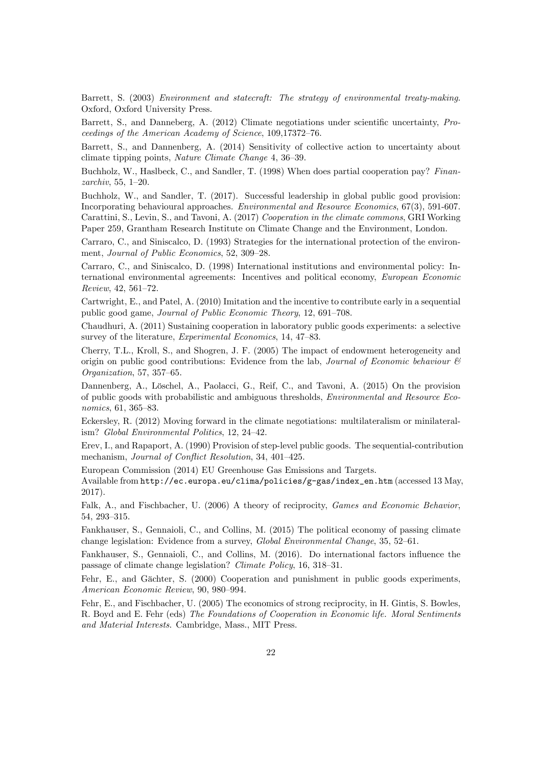Barrett, S. (2003) Environment and statecraft: The strategy of environmental treaty-making. Oxford, Oxford University Press.

Barrett, S., and Danneberg, A. (2012) Climate negotiations under scientific uncertainty, Proceedings of the American Academy of Science,  $109,17372-76$ .

Barrett, S., and Dannenberg, A. (2014) Sensitivity of collective action to uncertainty about climate tipping points, Nature Climate Change 4, 36-39.

Buchholz, W., Haslbeck, C., and Sandler, T. (1998) When does partial cooperation pay? Finan $zarchiv$ , 55, 1-20.

Buchholz, W., and Sandler, T. (2017). Successful leadership in global public good provision: Incorporating behavioural approaches. Environmental and Resource Economics, 67(3), 591-607. Carattini, S., Levin, S., and Tavoni, A. (2017) Cooperation in the climate commons, GRI Working Paper 259, Grantham Research Institute on Climate Change and the Environment, London.

Carraro, C., and Siniscalco, D. (1993) Strategies for the international protection of the environment, Journal of Public Economics, 52, 309-28.

Carraro, C., and Siniscalco, D. (1998) International institutions and environmental policy: International environmental agreements: Incentives and political economy, European Economic  $Review, 42, 561–72.$ 

Cartwright, E., and Patel, A. (2010) Imitation and the incentive to contribute early in a sequential public good game, Journal of Public Economic Theory, 12, 691-708.

Chaudhuri, A. (2011) Sustaining cooperation in laboratory public goods experiments: a selective survey of the literature, *Experimental Economics*, 14, 47-83.

Cherry, T.L., Kroll, S., and Shogren, J. F. (2005) The impact of endowment heterogeneity and origin on public good contributions: Evidence from the lab, *Journal of Economic behaviour*  $\mathcal{C}$ Organization, 57, 357-65.

Dannenberg, A., Löschel, A., Paolacci, G., Reif, C., and Tavoni, A. (2015) On the provision of public goods with probabilistic and ambiguous thresholds, Environmental and Resource Economics,  $61, 365 - 83$ .

Eckersley, R. (2012) Moving forward in the climate negotiations: multilateralism or minilateralism? Global Environmental Politics, 12, 24-42.

Erev, I., and Rapaport, A. (1990) Provision of step-level public goods. The sequential-contribution mechanism, Journal of Conflict Resolution, 34, 401-425.

European Commission (2014) EU Greenhouse Gas Emissions and Targets.

Available from http://ec.europa.eu/clima/policies/g-gas/index\_en.htm (accessed 13 May, 2017).

Falk, A., and Fischbacher, U. (2006) A theory of reciprocity, Games and Economic Behavior, 54, 293-315.

Fankhauser, S., Gennaioli, C., and Collins, M. (2015) The political economy of passing climate change legislation: Evidence from a survey,  $Global Environmental Change$ , 35, 52–61.

Fankhauser, S., Gennaioli, C., and Collins, M. (2016). Do international factors influence the passage of climate change legislation? *Climate Policy*,  $16, 318-31$ .

Fehr, E., and Gächter, S. (2000) Cooperation and punishment in public goods experiments, American Economic Review, 90, 980-994.

Fehr, E., and Fischbacher, U. (2005) The economics of strong reciprocity, in H. Gintis, S. Bowles, R. Boyd and E. Fehr (eds) The Foundations of Cooperation in Economic life. Moral Sentiments and Material Interests. Cambridge, Mass., MIT Press.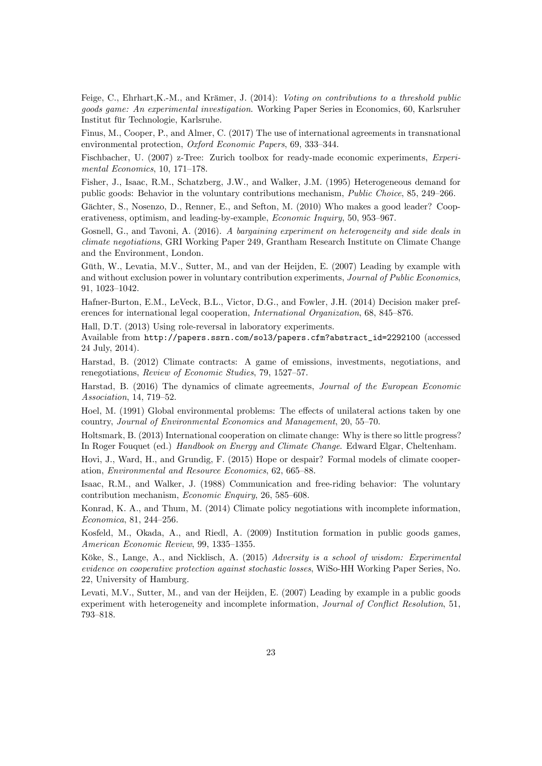Feige, C., Ehrhart, K.-M., and Krämer, J. (2014): Voting on contributions to a threshold public goods game: An experimental investigation. Working Paper Series in Economics, 60, Karlsruher Institut für Technologie, Karlsruhe.

Finus, M., Cooper, P., and Almer, C. (2017) The use of international agreements in transnational environmental protection, Oxford Economic Papers, 69, 333-344.

Fischbacher, U. (2007) z-Tree: Zurich toolbox for ready-made economic experiments, *Experi*mental Economics,  $10, 171-178$ .

Fisher, J., Isaac, R.M., Schatzberg, J.W., and Walker, J.M. (1995) Heterogeneous demand for public goods: Behavior in the voluntary contributions mechanism, *Public Choice*, 85, 249–266.

Gächter, S., Nosenzo, D., Renner, E., and Sefton, M. (2010) Who makes a good leader? Cooperativeness, optimism, and leading-by-example, *Economic Inquiry*, 50, 953–967.

Gosnell, G., and Tavoni, A. (2016). A bargaining experiment on heterogeneity and side deals in climate negotiations, GRI Working Paper 249, Grantham Research Institute on Climate Change and the Environment, London.

Güth, W., Levatia, M.V., Sutter, M., and van der Heijden, E. (2007) Leading by example with and without exclusion power in voluntary contribution experiments, *Journal of Public Economics*, 91, 1023-1042.

Hafner-Burton, E.M., LeVeck, B.L., Victor, D.G., and Fowler, J.H. (2014) Decision maker preferences for international legal cooperation, *International Organization*, 68, 845–876.

Hall, D.T. (2013) Using role-reversal in laboratory experiments.

Available from http://papers.ssrn.com/sol3/papers.cfm?abstract\_id=2292100 (accessed 24 July, 2014).

Harstad, B. (2012) Climate contracts: A game of emissions, investments, negotiations, and renegotiations, Review of Economic Studies, 79, 1527-57.

Harstad, B. (2016) The dynamics of climate agreements, Journal of the European Economic Association, 14, 719–52.

Hoel, M. (1991) Global environmental problems: The effects of unilateral actions taken by one country, Journal of Environmental Economics and Management, 20, 55-70.

Holtsmark, B. (2013) International cooperation on climate change: Why is there so little progress? In Roger Fouquet (ed.) Handbook on Energy and Climate Change. Edward Elgar, Cheltenham.

Hovi, J., Ward, H., and Grundig, F. (2015) Hope or despair? Formal models of climate cooperation, Environmental and Resource Economics, 62, 665-88.

Isaac, R.M., and Walker, J. (1988) Communication and free-riding behavior: The voluntary contribution mechanism, *Economic Enquiry*, 26, 585–608.

Konrad, K. A., and Thum, M. (2014) Climate policy negotiations with incomplete information,  $Economica, 81, 244–256.$ 

Kosfeld, M., Okada, A., and Riedl, A. (2009) Institution formation in public goods games, American Economic Review, 99, 1335-1355.

Köke, S., Lange, A., and Nicklisch, A. (2015) Adversity is a school of wisdom: Experimental evidence on cooperative protection against stochastic losses, WiSo-HH Working Paper Series, No. 22, University of Hamburg.

Levati, M.V., Sutter, M., and van der Heijden, E. (2007) Leading by example in a public goods experiment with heterogeneity and incomplete information, Journal of Conflict Resolution, 51, 793-818.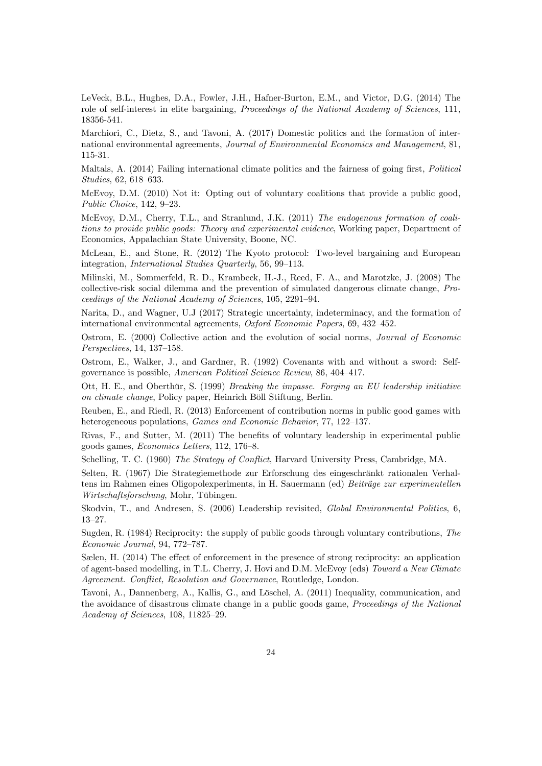LeVeck, B.L., Hughes, D.A., Fowler, J.H., Hafner-Burton, E.M., and Victor, D.G. (2014) The role of self-interest in elite bargaining, Proceedings of the National Academy of Sciences, 111, 18356-541.

Marchiori, C., Dietz, S., and Tavoni, A. (2017) Domestic politics and the formation of international environmental agreements, Journal of Environmental Economics and Management, 81, 115-31.

Maltais, A. (2014) Failing international climate politics and the fairness of going first, Political  $Studies, 62, 618–633.$ 

McEvoy, D.M. (2010) Not it: Opting out of voluntary coalitions that provide a public good, Public Choice,  $142, 9-23.$ 

McEvoy, D.M., Cherry, T.L., and Stranlund, J.K. (2011) The endogenous formation of coalitions to provide public goods: Theory and experimental evidence, Working paper, Department of Economics, Appalachian State University, Boone, NC.

McLean, E., and Stone, R. (2012) The Kyoto protocol: Two-level bargaining and European integration, *International Studies Quarterly*, 56, 99–113.

Milinski, M., Sommerfeld, R. D., Krambeck, H.-J., Reed, F. A., and Marotzke, J. (2008) The collective-risk social dilemma and the prevention of simulated dangerous climate change, Proceedings of the National Academy of Sciences, 105, 2291-94.

Narita, D., and Wagner, U.J (2017) Strategic uncertainty, indeterminacy, and the formation of international environmental agreements,  $Oxford Economic Papers$ , 69, 432-452.

Ostrom, E. (2000) Collective action and the evolution of social norms, Journal of Economic  $Perspecies, 14, 137–158.$ 

Ostrom, E., Walker, J., and Gardner, R. (1992) Covenants with and without a sword: Selfgovernance is possible, American Political Science Review, 86, 404-417.

Ott, H. E., and Oberthür, S. (1999) Breaking the impasse. Forging an EU leadership initiative on climate change, Policy paper, Heinrich Böll Stiftung, Berlin.

Reuben, E., and Riedl, R. (2013) Enforcement of contribution norms in public good games with heterogeneous populations, *Games and Economic Behavior*, 77, 122-137.

Rivas, F., and Sutter, M.  $(2011)$  The benefits of voluntary leadership in experimental public goods games, *Economics Letters*, 112, 176-8.

Schelling, T. C. (1960) The Strategy of Conflict, Harvard University Press, Cambridge, MA.

Selten, R. (1967) Die Strategiemethode zur Erforschung des eingeschränkt rationalen Verhaltens im Rahmen eines Oligopolexperiments, in H. Sauermann (ed) Beiträge zur experimentellen Wirtschaftsforschung, Mohr, Tübingen.

Skodvin, T., and Andresen, S. (2006) Leadership revisited, Global Environmental Politics, 6,  $13 - 27$ .

Sugden, R. (1984) Reciprocity: the supply of public goods through voluntary contributions, The  $Economic\ Journal$ , 94, 772-787.

Sælen, H. (2014) The effect of enforcement in the presence of strong reciprocity: an application of agent-based modelling, in T.L. Cherry, J. Hovi and D.M. McEvoy (eds) Toward a New Climate Agreement. Conflict, Resolution and Governance, Routledge, London.

Tavoni, A., Dannenberg, A., Kallis, G., and Löschel, A. (2011) Inequality, communication, and the avoidance of disastrous climate change in a public goods game, Proceedings of the National  $Academy of Sciences, 108, 11825-29.$